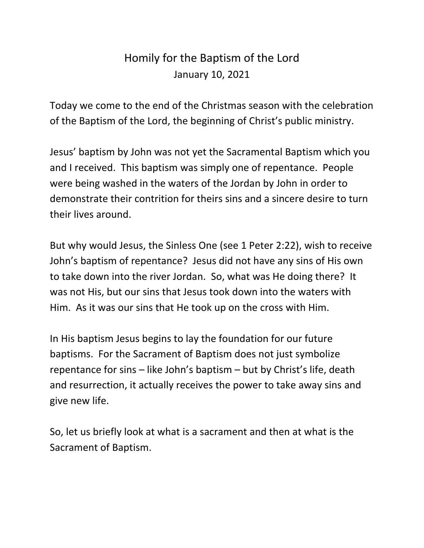## Homily for the Baptism of the Lord January 10, 2021

Today we come to the end of the Christmas season with the celebration of the Baptism of the Lord, the beginning of Christ's public ministry.

Jesus' baptism by John was not yet the Sacramental Baptism which you and I received. This baptism was simply one of repentance. People were being washed in the waters of the Jordan by John in order to demonstrate their contrition for theirs sins and a sincere desire to turn their lives around.

But why would Jesus, the Sinless One (see 1 Peter 2:22), wish to receive John's baptism of repentance? Jesus did not have any sins of His own to take down into the river Jordan. So, what was He doing there? It was not His, but our sins that Jesus took down into the waters with Him. As it was our sins that He took up on the cross with Him.

In His baptism Jesus begins to lay the foundation for our future baptisms. For the Sacrament of Baptism does not just symbolize repentance for sins – like John's baptism – but by Christ's life, death and resurrection, it actually receives the power to take away sins and give new life.

So, let us briefly look at what is a sacrament and then at what is the Sacrament of Baptism.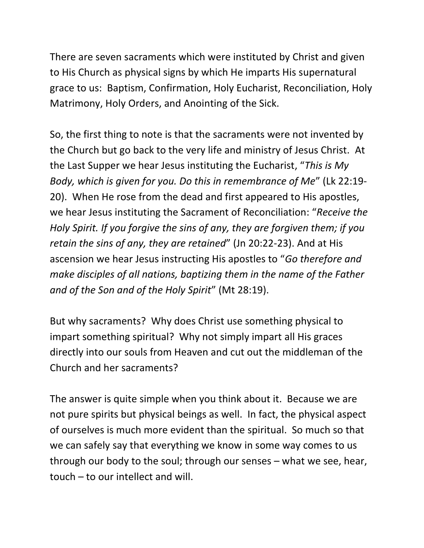There are seven sacraments which were instituted by Christ and given to His Church as physical signs by which He imparts His supernatural grace to us: Baptism, Confirmation, Holy Eucharist, Reconciliation, Holy Matrimony, Holy Orders, and Anointing of the Sick.

So, the first thing to note is that the sacraments were not invented by the Church but go back to the very life and ministry of Jesus Christ. At the Last Supper we hear Jesus instituting the Eucharist, "*This is My Body, which is given for you. Do this in remembrance of Me*" (Lk 22:19- 20). When He rose from the dead and first appeared to His apostles, we hear Jesus instituting the Sacrament of Reconciliation: "*Receive the Holy Spirit. If you forgive the sins of any, they are forgiven them; if you retain the sins of any, they are retained*" (Jn 20:22-23). And at His ascension we hear Jesus instructing His apostles to "*Go therefore and make disciples of all nations, baptizing them in the name of the Father and of the Son and of the Holy Spirit*" (Mt 28:19).

But why sacraments? Why does Christ use something physical to impart something spiritual? Why not simply impart all His graces directly into our souls from Heaven and cut out the middleman of the Church and her sacraments?

The answer is quite simple when you think about it. Because we are not pure spirits but physical beings as well. In fact, the physical aspect of ourselves is much more evident than the spiritual. So much so that we can safely say that everything we know in some way comes to us through our body to the soul; through our senses – what we see, hear, touch – to our intellect and will.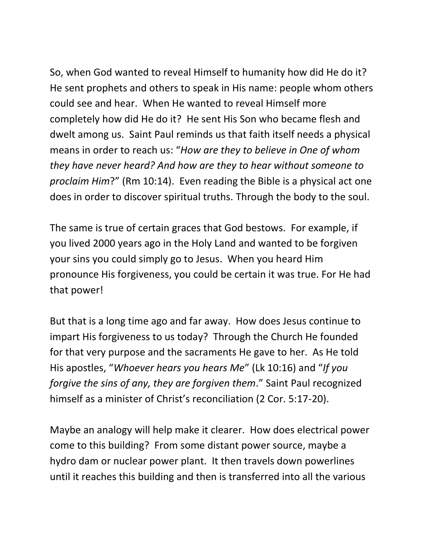So, when God wanted to reveal Himself to humanity how did He do it? He sent prophets and others to speak in His name: people whom others could see and hear. When He wanted to reveal Himself more completely how did He do it? He sent His Son who became flesh and dwelt among us. Saint Paul reminds us that faith itself needs a physical means in order to reach us: "*How are they to believe in One of whom they have never heard? And how are they to hear without someone to proclaim Him*?" (Rm 10:14). Even reading the Bible is a physical act one does in order to discover spiritual truths. Through the body to the soul.

The same is true of certain graces that God bestows. For example, if you lived 2000 years ago in the Holy Land and wanted to be forgiven your sins you could simply go to Jesus. When you heard Him pronounce His forgiveness, you could be certain it was true. For He had that power!

But that is a long time ago and far away. How does Jesus continue to impart His forgiveness to us today? Through the Church He founded for that very purpose and the sacraments He gave to her. As He told His apostles, "*Whoever hears you hears Me*" (Lk 10:16) and "*If you forgive the sins of any, they are forgiven them*." Saint Paul recognized himself as a minister of Christ's reconciliation (2 Cor. 5:17-20).

Maybe an analogy will help make it clearer. How does electrical power come to this building? From some distant power source, maybe a hydro dam or nuclear power plant. It then travels down powerlines until it reaches this building and then is transferred into all the various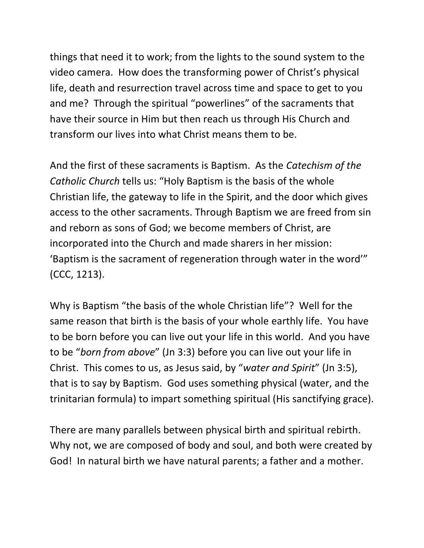things that need it to work; from the lights to the sound system to the video camera. How does the transforming power of Christ's physical life, death and resurrection travel across time and space to get to you and me? Through the spiritual "powerlines" of the sacraments that have their source in Him but then reach us through His Church and transform our lives into what Christ means them to be.

And the first of these sacraments is Baptism. As the *Catechism of the Catholic Church* tells us: "Holy Baptism is the basis of the whole Christian life, the gateway to life in the Spirit, and the door which gives access to the other sacraments. Through Baptism we are freed from sin and reborn as sons of God; we become members of Christ, are incorporated into the Church and made sharers in her mission: 'Baptism is the sacrament of regeneration through water in the word'" (CCC, 1213).

Why is Baptism "the basis of the whole Christian life"? Well for the same reason that birth is the basis of your whole earthly life. You have to be born before you can live out your life in this world. And you have to be "*born from above*" (Jn 3:3) before you can live out your life in Christ. This comes to us, as Jesus said, by "*water and Spirit*" (Jn 3:5), that is to say by Baptism. God uses something physical (water, and the trinitarian formula) to impart something spiritual (His sanctifying grace).

There are many parallels between physical birth and spiritual rebirth. Why not, we are composed of body and soul, and both were created by God! In natural birth we have natural parents; a father and a mother.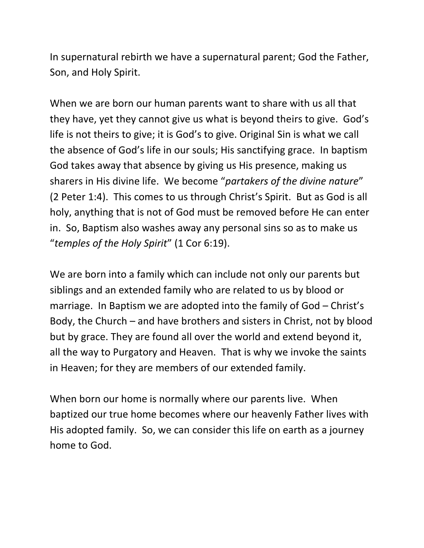In supernatural rebirth we have a supernatural parent; God the Father, Son, and Holy Spirit.

When we are born our human parents want to share with us all that they have, yet they cannot give us what is beyond theirs to give. God's life is not theirs to give; it is God's to give. Original Sin is what we call the absence of God's life in our souls; His sanctifying grace. In baptism God takes away that absence by giving us His presence, making us sharers in His divine life. We become "*partakers of the divine nature*" (2 Peter 1:4). This comes to us through Christ's Spirit. But as God is all holy, anything that is not of God must be removed before He can enter in. So, Baptism also washes away any personal sins so as to make us "*temples of the Holy Spirit*" (1 Cor 6:19).

We are born into a family which can include not only our parents but siblings and an extended family who are related to us by blood or marriage. In Baptism we are adopted into the family of God – Christ's Body, the Church – and have brothers and sisters in Christ, not by blood but by grace. They are found all over the world and extend beyond it, all the way to Purgatory and Heaven. That is why we invoke the saints in Heaven; for they are members of our extended family.

When born our home is normally where our parents live. When baptized our true home becomes where our heavenly Father lives with His adopted family. So, we can consider this life on earth as a journey home to God.